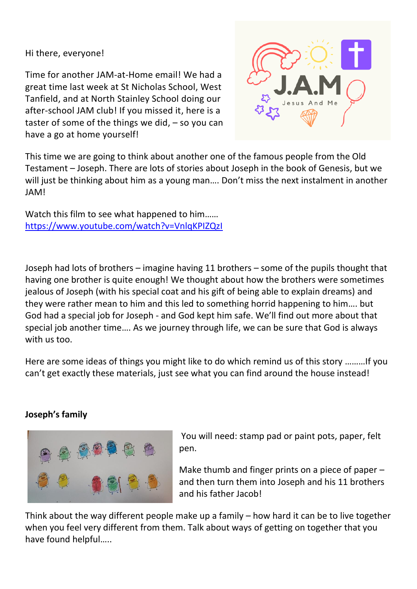Hi there, everyone!

Time for another JAM-at-Home email! We had a great time last week at St Nicholas School, West Tanfield, and at North Stainley School doing our after-school JAM club! If you missed it, here is a taster of some of the things we did,  $-$  so you can have a go at home yourself!



This time we are going to think about another one of the famous people from the Old Testament – Joseph. There are lots of stories about Joseph in the book of Genesis, but we will just be thinking about him as a young man…. Don't miss the next instalment in another JAM!

Watch this film to see what happened to him…… <https://www.youtube.com/watch?v=VnlqKPIZQzI>

Joseph had lots of brothers – imagine having 11 brothers – some of the pupils thought that having one brother is quite enough! We thought about how the brothers were sometimes jealous of Joseph (with his special coat and his gift of being able to explain dreams) and they were rather mean to him and this led to something horrid happening to him…. but God had a special job for Joseph - and God kept him safe. We'll find out more about that special job another time…. As we journey through life, we can be sure that God is always with us too.

Here are some ideas of things you might like to do which remind us of this story ………If you can't get exactly these materials, just see what you can find around the house instead!

## **Joseph's family**



You will need: stamp pad or paint pots, paper, felt pen.

Make thumb and finger prints on a piece of paper – and then turn them into Joseph and his 11 brothers and his father Jacob!

Think about the way different people make up a family – how hard it can be to live together when you feel very different from them. Talk about ways of getting on together that you have found helpful…..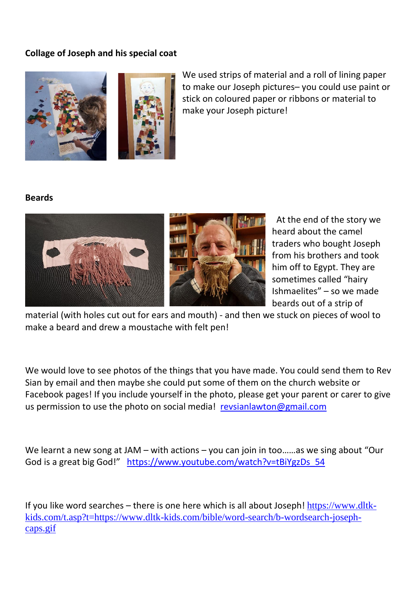## **Collage of Joseph and his special coat**



We used strips of material and a roll of lining paper to make our Joseph pictures– you could use paint or stick on coloured paper or ribbons or material to make your Joseph picture!

## **Beards**



At the end of the story we heard about the camel traders who bought Joseph from his brothers and took him off to Egypt. They are sometimes called "hairy Ishmaelites" – so we made beards out of a strip of

material (with holes cut out for ears and mouth) - and then we stuck on pieces of wool to make a beard and drew a moustache with felt pen!

We would love to see photos of the things that you have made. You could send them to Rev Sian by email and then maybe she could put some of them on the church website or Facebook pages! If you include yourself in the photo, please get your parent or carer to give us permission to use the photo on social media! [revsianlawton@gmail.com](mailto:revsianlawton@gmail.com)

We learnt a new song at JAM – with actions – you can join in too......as we sing about "Our God is a great big God!" [https://www.youtube.com/watch?v=tBiYgzDs\\_54](https://www.youtube.com/watch?v=tBiYgzDs_54)

If you like word searches – there is one here which is all about Joseph! [https://www.dltk](https://www.dltk-kids.com/t.asp?t=https://www.dltk-kids.com/bible/word-search/b-wordsearch-joseph-caps.gif)[kids.com/t.asp?t=https://www.dltk-kids.com/bible/word-search/b-wordsearch-joseph](https://www.dltk-kids.com/t.asp?t=https://www.dltk-kids.com/bible/word-search/b-wordsearch-joseph-caps.gif)[caps.gif](https://www.dltk-kids.com/t.asp?t=https://www.dltk-kids.com/bible/word-search/b-wordsearch-joseph-caps.gif)